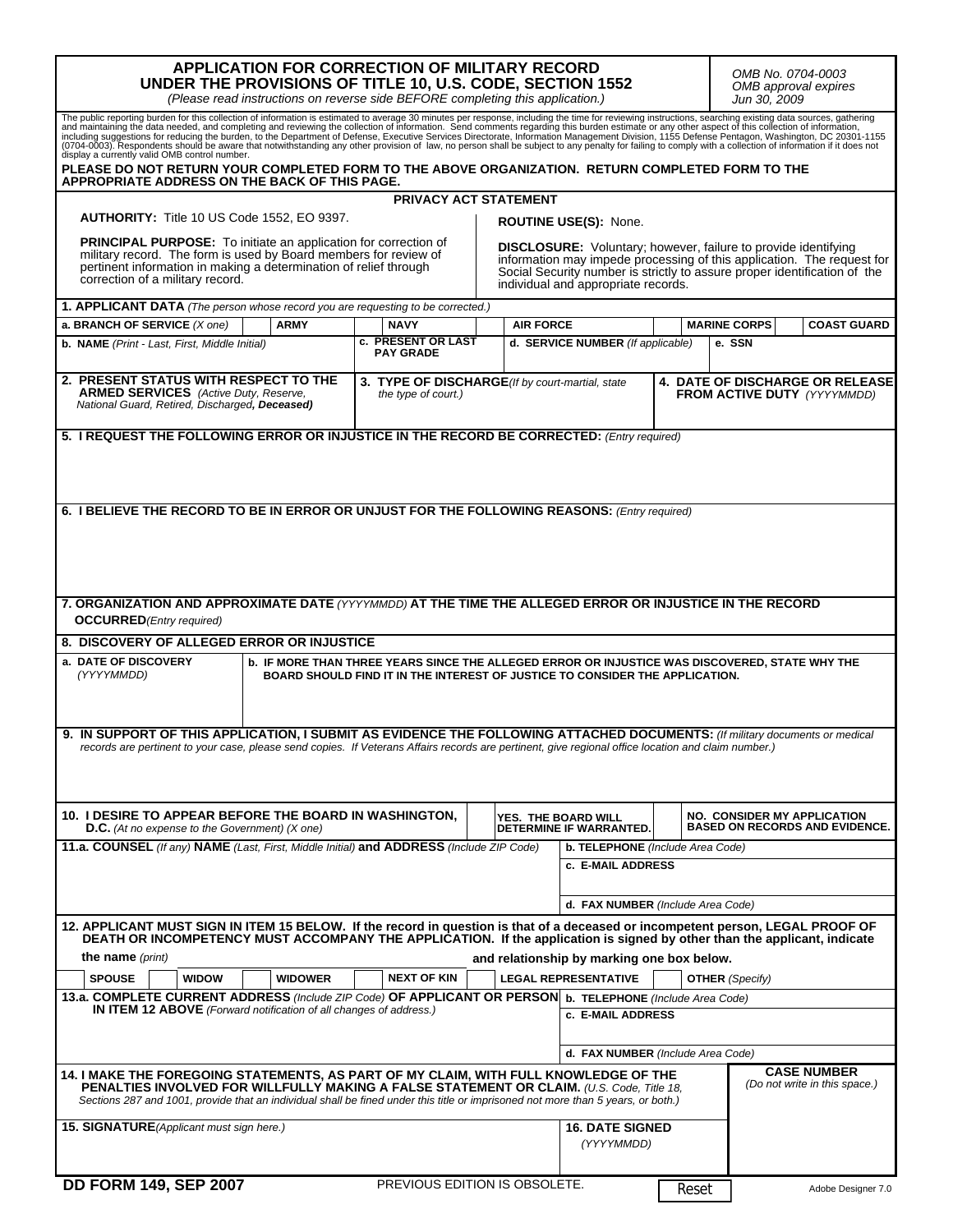| <b>APPLICATION FOR CORRECTION OF MILITARY RECORD</b><br>UNDER THE PROVISIONS OF TITLE 10, U.S. CODE, SECTION 1552<br>(Please read instructions on reverse side BEFORE completing this application.)                                                                                                                                                                                                                                                                                                                                                                                              |                                                                                                                                                                                                               |                                                                                                                               |                              |                                                                                                                                                                                                                                                                     |       | OMB No. 0704-0003<br>OMB approval expires<br>Jun 30, 2009 |                    |
|--------------------------------------------------------------------------------------------------------------------------------------------------------------------------------------------------------------------------------------------------------------------------------------------------------------------------------------------------------------------------------------------------------------------------------------------------------------------------------------------------------------------------------------------------------------------------------------------------|---------------------------------------------------------------------------------------------------------------------------------------------------------------------------------------------------------------|-------------------------------------------------------------------------------------------------------------------------------|------------------------------|---------------------------------------------------------------------------------------------------------------------------------------------------------------------------------------------------------------------------------------------------------------------|-------|-----------------------------------------------------------|--------------------|
| The public reporting burden for this collection of information is estimated to average 30 minutes per response, including the time for reviewing instructions, searching existing data sources, gathering and maintaining the<br>(0704-0003). Respondents should be aware that notwithstanding any other provision of law, no person shall be subject to any penalty for failing to comply with a collection of information if it does not<br>display a currently valid OMB control number.<br>PLEASE DO NOT RETURN YOUR COMPLETED FORM TO THE ABOVE ORGANIZATION.  RETURN COMPLETED FORM TO THE |                                                                                                                                                                                                               |                                                                                                                               |                              |                                                                                                                                                                                                                                                                     |       |                                                           |                    |
| APPROPRIATE ADDRESS ON THE BACK OF THIS PAGE.                                                                                                                                                                                                                                                                                                                                                                                                                                                                                                                                                    |                                                                                                                                                                                                               |                                                                                                                               | <b>PRIVACY ACT STATEMENT</b> |                                                                                                                                                                                                                                                                     |       |                                                           |                    |
| AUTHORITY: Title 10 US Code 1552, EO 9397.                                                                                                                                                                                                                                                                                                                                                                                                                                                                                                                                                       |                                                                                                                                                                                                               |                                                                                                                               |                              | <b>ROUTINE USE(S): None.</b>                                                                                                                                                                                                                                        |       |                                                           |                    |
| <b>PRINCIPAL PURPOSE:</b> To initiate an application for correction of<br>military record. The form is used by Board members for review of<br>pertinent information in making a determination of relief through<br>correction of a military record.                                                                                                                                                                                                                                                                                                                                              |                                                                                                                                                                                                               |                                                                                                                               |                              | <b>DISCLOSURE:</b> Voluntary; however, failure to provide identifying<br>information may impede processing of this application. The request for<br>Social Security number is strictly to assure proper identification of the<br>individual and appropriate records. |       |                                                           |                    |
| 1. APPLICANT DATA (The person whose record you are requesting to be corrected.)                                                                                                                                                                                                                                                                                                                                                                                                                                                                                                                  |                                                                                                                                                                                                               |                                                                                                                               |                              |                                                                                                                                                                                                                                                                     |       |                                                           |                    |
| a. BRANCH OF SERVICE (X one)                                                                                                                                                                                                                                                                                                                                                                                                                                                                                                                                                                     | <b>ARMY</b>                                                                                                                                                                                                   | <b>NAVY</b>                                                                                                                   | <b>AIR FORCE</b>             |                                                                                                                                                                                                                                                                     |       | <b>MARINE CORPS</b>                                       | <b>COAST GUARD</b> |
| b. NAME (Print - Last, First, Middle Initial)                                                                                                                                                                                                                                                                                                                                                                                                                                                                                                                                                    |                                                                                                                                                                                                               | c. PRESENT OR LAST<br><b>PAY GRADE</b>                                                                                        |                              | d. SERVICE NUMBER (If applicable)                                                                                                                                                                                                                                   |       | e. SSN                                                    |                    |
| 2. PRESENT STATUS WITH RESPECT TO THE<br><b>ARMED SERVICES</b> (Active Duty, Reserve,<br>National Guard, Retired, Discharged, Deceased)                                                                                                                                                                                                                                                                                                                                                                                                                                                          | 3. TYPE OF DISCHARGE(If by court-martial, state<br>the type of court.)                                                                                                                                        |                                                                                                                               |                              | 4. DATE OF DISCHARGE OR RELEASE<br>FROM ACTIVE DUTY (YYYYMMDD)                                                                                                                                                                                                      |       |                                                           |                    |
| 5. I REQUEST THE FOLLOWING ERROR OR INJUSTICE IN THE RECORD BE CORRECTED: (Entry required)                                                                                                                                                                                                                                                                                                                                                                                                                                                                                                       |                                                                                                                                                                                                               |                                                                                                                               |                              |                                                                                                                                                                                                                                                                     |       |                                                           |                    |
| 6. I BELIEVE THE RECORD TO BE IN ERROR OR UNJUST FOR THE FOLLOWING REASONS: (Entry required)<br>7. ORGANIZATION AND APPROXIMATE DATE (YYYYMMDD) AT THE TIME THE ALLEGED ERROR OR INJUSTICE IN THE RECORD                                                                                                                                                                                                                                                                                                                                                                                         |                                                                                                                                                                                                               |                                                                                                                               |                              |                                                                                                                                                                                                                                                                     |       |                                                           |                    |
| <b>OCCURRED</b> (Entry required)                                                                                                                                                                                                                                                                                                                                                                                                                                                                                                                                                                 |                                                                                                                                                                                                               |                                                                                                                               |                              |                                                                                                                                                                                                                                                                     |       |                                                           |                    |
| 8. DISCOVERY OF ALLEGED ERROR OR INJUSTICE                                                                                                                                                                                                                                                                                                                                                                                                                                                                                                                                                       |                                                                                                                                                                                                               |                                                                                                                               |                              |                                                                                                                                                                                                                                                                     |       |                                                           |                    |
| (YYYYMMDD)                                                                                                                                                                                                                                                                                                                                                                                                                                                                                                                                                                                       | a. DATE OF DISCOVERY<br><b>b. IF MORE THAN THREE YEARS SINCE THE ALLEGED ERROR OR INJUSTICE WAS DISCOVERED, STATE WHY THE</b><br>BOARD SHOULD FIND IT IN THE INTEREST OF JUSTICE TO CONSIDER THE APPLICATION. |                                                                                                                               |                              |                                                                                                                                                                                                                                                                     |       |                                                           |                    |
| 9. IN SUPPORT OF THIS APPLICATION, I SUBMIT AS EVIDENCE THE FOLLOWING ATTACHED DOCUMENTS: (If military documents or medical<br>records are pertinent to your case, please send copies. If Veterans Affairs records are pertinent, give regional office location and claim number.)                                                                                                                                                                                                                                                                                                               |                                                                                                                                                                                                               |                                                                                                                               |                              |                                                                                                                                                                                                                                                                     |       |                                                           |                    |
| 10. I DESIRE TO APPEAR BEFORE THE BOARD IN WASHINGTON.<br><b>D.C.</b> (At no expense to the Government) (X one)                                                                                                                                                                                                                                                                                                                                                                                                                                                                                  |                                                                                                                                                                                                               | <b>NO. CONSIDER MY APPLICATION</b><br>YES. THE BOARD WILL<br><b>BASED ON RECORDS AND EVIDENCE.</b><br>DETERMINE IF WARRANTED. |                              |                                                                                                                                                                                                                                                                     |       |                                                           |                    |
| 11.a. COUNSEL (If any) NAME (Last, First, Middle Initial) and ADDRESS (Include ZIP Code)                                                                                                                                                                                                                                                                                                                                                                                                                                                                                                         |                                                                                                                                                                                                               |                                                                                                                               |                              | b. TELEPHONE (Include Area Code)                                                                                                                                                                                                                                    |       |                                                           |                    |
|                                                                                                                                                                                                                                                                                                                                                                                                                                                                                                                                                                                                  |                                                                                                                                                                                                               |                                                                                                                               |                              | c. E-MAIL ADDRESS                                                                                                                                                                                                                                                   |       |                                                           |                    |
|                                                                                                                                                                                                                                                                                                                                                                                                                                                                                                                                                                                                  |                                                                                                                                                                                                               |                                                                                                                               |                              | d. FAX NUMBER (Include Area Code)                                                                                                                                                                                                                                   |       |                                                           |                    |
| 12. APPLICANT MUST SIGN IN ITEM 15 BELOW. If the record in question is that of a deceased or incompetent person, LEGAL PROOF OF<br>DEATH OR INCOMPETENCY MUST ACCOMPANY THE APPLICATION. If the application is signed by other than the applicant, indicate<br>the name (print)                                                                                                                                                                                                                                                                                                                  |                                                                                                                                                                                                               |                                                                                                                               |                              | and relationship by marking one box below.                                                                                                                                                                                                                          |       |                                                           |                    |
| <b>SPOUSE</b><br><b>WIDOW</b>                                                                                                                                                                                                                                                                                                                                                                                                                                                                                                                                                                    | <b>WIDOWER</b>                                                                                                                                                                                                | <b>NEXT OF KIN</b>                                                                                                            |                              | <b>LEGAL REPRESENTATIVE</b>                                                                                                                                                                                                                                         |       | <b>OTHER</b> (Specify)                                    |                    |
| 13.a. COMPLETE CURRENT ADDRESS (Include ZIP Code) OF APPLICANT OR PERSON b. TELEPHONE (Include Area Code)<br><b>IN ITEM 12 ABOVE</b> (Forward notification of all changes of address.)                                                                                                                                                                                                                                                                                                                                                                                                           |                                                                                                                                                                                                               |                                                                                                                               |                              | c. E-MAIL ADDRESS                                                                                                                                                                                                                                                   |       |                                                           |                    |
|                                                                                                                                                                                                                                                                                                                                                                                                                                                                                                                                                                                                  |                                                                                                                                                                                                               |                                                                                                                               |                              | d. FAX NUMBER (Include Area Code)                                                                                                                                                                                                                                   |       |                                                           |                    |
| <b>CASE NUMBER</b><br>14. I MAKE THE FOREGOING STATEMENTS, AS PART OF MY CLAIM, WITH FULL KNOWLEDGE OF THE<br>(Do not write in this space.)<br><b>PENALTIES INVOLVED FOR WILLFULLY MAKING A FALSE STATEMENT OR CLAIM. (U.S. Code, Title 18,</b><br>Sections 287 and 1001, provide that an individual shall be fined under this title or imprisoned not more than 5 years, or both.)                                                                                                                                                                                                              |                                                                                                                                                                                                               |                                                                                                                               |                              |                                                                                                                                                                                                                                                                     |       |                                                           |                    |
| 15. SIGNATURE (Applicant must sign here.)                                                                                                                                                                                                                                                                                                                                                                                                                                                                                                                                                        |                                                                                                                                                                                                               |                                                                                                                               |                              | <b>16. DATE SIGNED</b><br>(YYYYMMDD)                                                                                                                                                                                                                                |       |                                                           |                    |
| <b>DD FORM 149, SEP 2007</b>                                                                                                                                                                                                                                                                                                                                                                                                                                                                                                                                                                     |                                                                                                                                                                                                               | PREVIOUS EDITION IS OBSOLETE.                                                                                                 |                              |                                                                                                                                                                                                                                                                     | Reset |                                                           | Adobe Designer 7.0 |